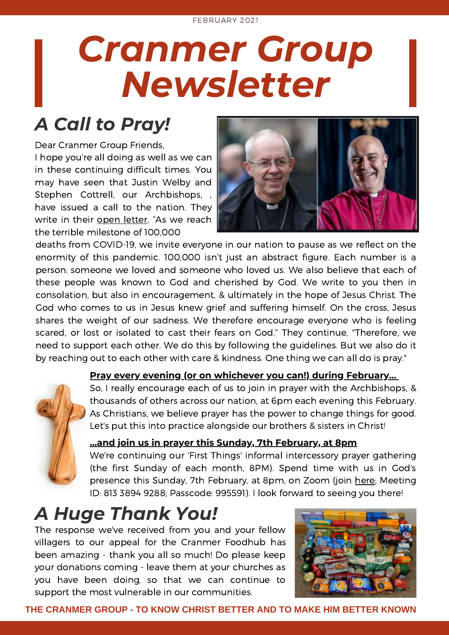# *Cranmer Group Newsletter*

# *A Call to Pray!*

Dear Cranmer Group Friends,

I hope you're all doing as well as we can in these continuing difficult times. You may have seen that Justin Welby and Stephen Cottrell, our Archbishops, , have issued a call to the nation. They write in their open [letter,](https://www.churchofengland.org/sites/default/files/2021-01/20210126%20Letter%20to%20the%20nation.pdf) "As we reach the terrible milestone of 100,000



deaths from COVID-19, we invite everyone in our nation to pause as we reflect on the enormity of this pandemic. 100,000 isn't just an abstract figure. Each number is a person: someone we loved and someone who loved us. We also believe that each of these people was known to God and cherished by God. We write to you then in consolation, but also in encouragement, & ultimately in the hope of Jesus Christ. The God who comes to us in Jesus knew grief and suffering himself. On the cross, Jesus shares the weight of our sadness. We therefore encourage everyone who is feeling scared, or lost or isolated to cast their fears on God." They continue, "Therefore, we need to support each other. We do this by following the guidelines. But we also do it by reaching out to each other with care & kindness. One thing we can all do is pray."



#### **Pray every evening (or on whichever you can!) during February...**

So, I really encourage each of us to join in prayer with the Archbishops, & thousands of others across our nation, at 6pm each evening this February. As Christians, we believe prayer has the power to change things for good. Let's put this into practice alongside our brothers & sisters in Christ!

#### **...and join us in prayer this Sunday, 7th February, at 8pm**

We're continuing our 'First Things' informal intercessory prayer gathering (the first Sunday of each month, 8PM). Spend time with us in God's presence this Sunday, 7th February, at 8pm, on Zoom (join [here;](https://us02web.zoom.us/j/81338949288?pwd=a3BRVlRFVWU1aEtoRWM3YmtYcEhwdz09) Meeting ID: 813 3894 9288; Passcode: 995591). I look forward to seeing you there!

### *A Huge Thank You!*

The response we've received from you and your fellow villagers to our appeal for the Cranmer Foodhub has been amazing - thank you all so much! Do please keep your donations coming - leave them at your churches as you have been doing, so that we can continue to support the most vulnerable in our communities.



**THE CRANMER GROUP - TO KNOW CHRIST BETTER AND TO MAKE HIM BETTER KNOWN**